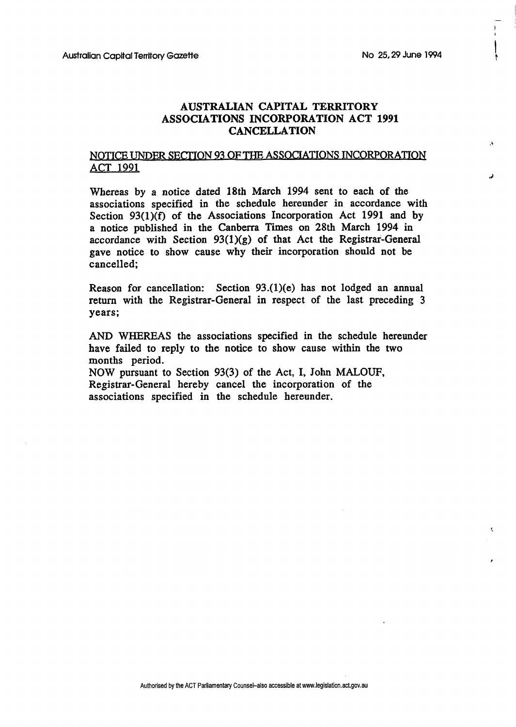t

 $\Lambda$ 

## **AUSTRALIAN CAPITAL TERRITORY ASSOCIATIONS INCORPORATION ACT 1991 CANCELLATION**

## NOTICE UNDER SECTION 93 OF THE ASSOCIATIONS INCORPORATION **ACT 1991**

Whereas by a notice dated 18th March 1994 sent to each of the associations specified in the schedule hereunder in accordance with Section  $93(1)(f)$  of the Associations Incorporation Act 1991 and by a notice published in the Canberra Times on 28th March 1994 in accordance with Section  $93(1)(g)$  of that Act the Registrar-General gave notice to show cause **why** their incorporation should not be cancelled;

Reason for cancellation: Section  $93.(1)(e)$  has not lodged an annual return with the Registrar-General in respect of the last preceding 3 years;

AND WHEREAS the associations specified in the schedule hereunder have failed to reply to the notice to show cause within the two months period. NOW pursuant to Section 93(3) of the Act, I, John MALOUF, Registrar-General hereby cancel the incorporation of the

associations specified in the schedule hereunder.